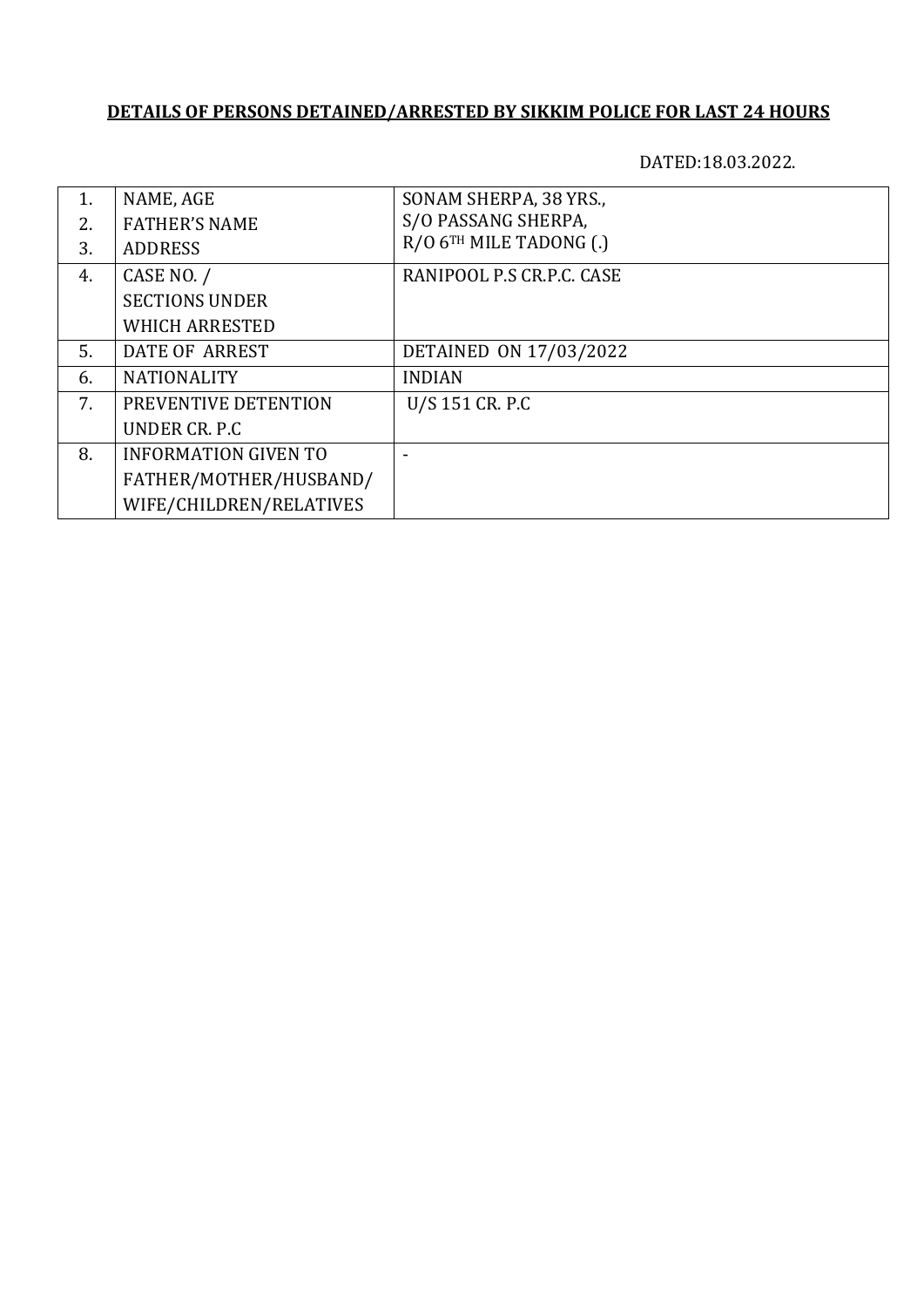DATED:18.03.2022.

| 1. | NAME, AGE                   | SONAM SHERPA, 38 YRS.,    |
|----|-----------------------------|---------------------------|
| 2. | <b>FATHER'S NAME</b>        | S/O PASSANG SHERPA,       |
| 3. | <b>ADDRESS</b>              | R/O 6TH MILE TADONG (.)   |
| 4. | CASE NO. /                  | RANIPOOL P.S CR.P.C. CASE |
|    | <b>SECTIONS UNDER</b>       |                           |
|    | <b>WHICH ARRESTED</b>       |                           |
| 5. | DATE OF ARREST              | DETAINED ON 17/03/2022    |
| 6. | <b>NATIONALITY</b>          | <b>INDIAN</b>             |
| 7. | PREVENTIVE DETENTION        | U/S 151 CR. P.C           |
|    | UNDER CR. P.C.              |                           |
| 8. | <b>INFORMATION GIVEN TO</b> |                           |
|    | FATHER/MOTHER/HUSBAND/      |                           |
|    | WIFE/CHILDREN/RELATIVES     |                           |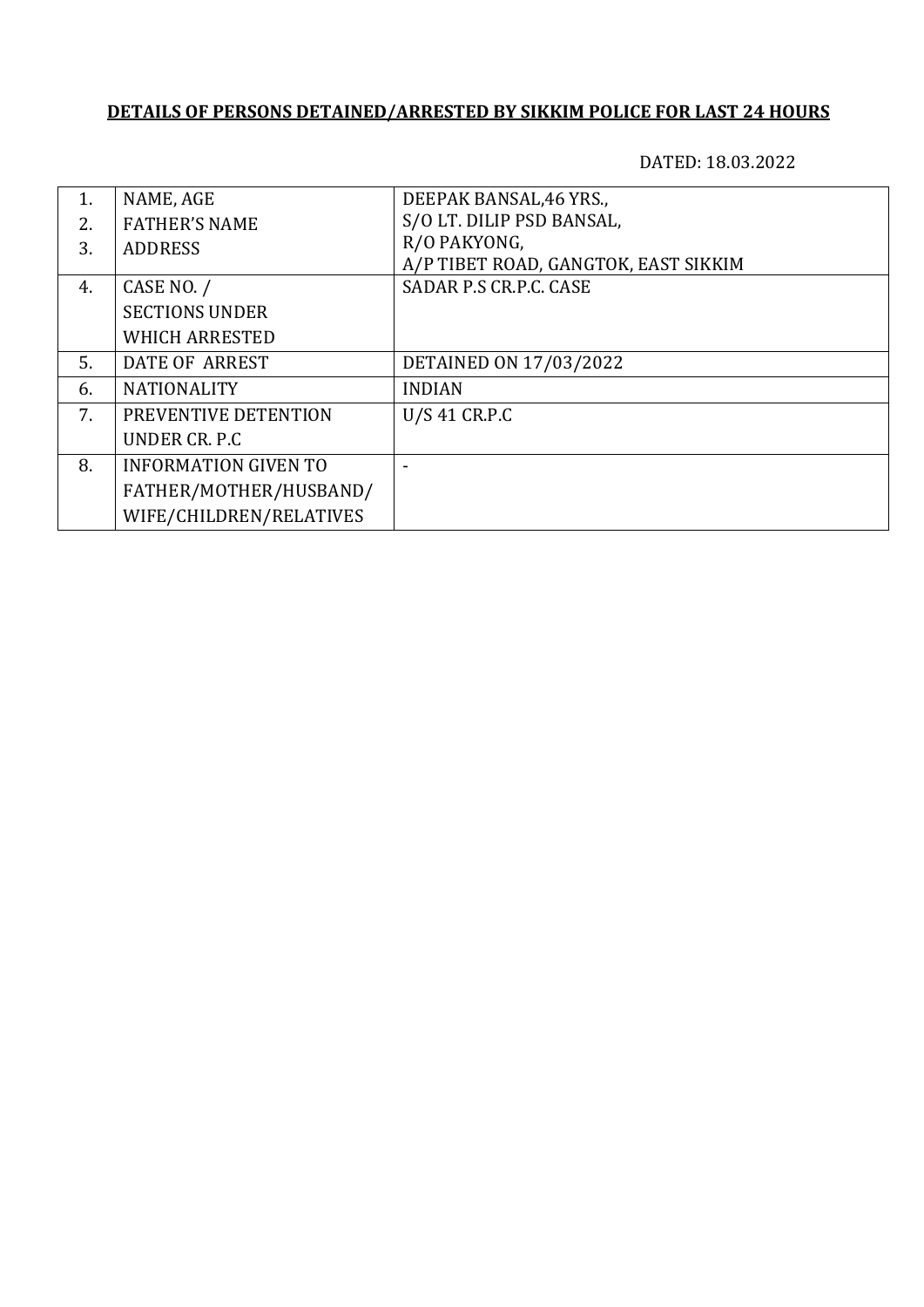| 1. | NAME, AGE                   | DEEPAK BANSAL, 46 YRS.,              |
|----|-----------------------------|--------------------------------------|
| 2. | <b>FATHER'S NAME</b>        | S/O LT. DILIP PSD BANSAL,            |
| 3. | <b>ADDRESS</b>              | R/O PAKYONG,                         |
|    |                             | A/P TIBET ROAD, GANGTOK, EAST SIKKIM |
| 4. | CASE NO. /                  | SADAR P.S CR.P.C. CASE               |
|    | <b>SECTIONS UNDER</b>       |                                      |
|    | <b>WHICH ARRESTED</b>       |                                      |
| 5. | DATE OF ARREST              | <b>DETAINED ON 17/03/2022</b>        |
| 6. | <b>NATIONALITY</b>          | <b>INDIAN</b>                        |
| 7. | PREVENTIVE DETENTION        | U/S 41 CR.P.C                        |
|    | UNDER CR. P.C.              |                                      |
| 8. | <b>INFORMATION GIVEN TO</b> |                                      |
|    | FATHER/MOTHER/HUSBAND/      |                                      |
|    | WIFE/CHILDREN/RELATIVES     |                                      |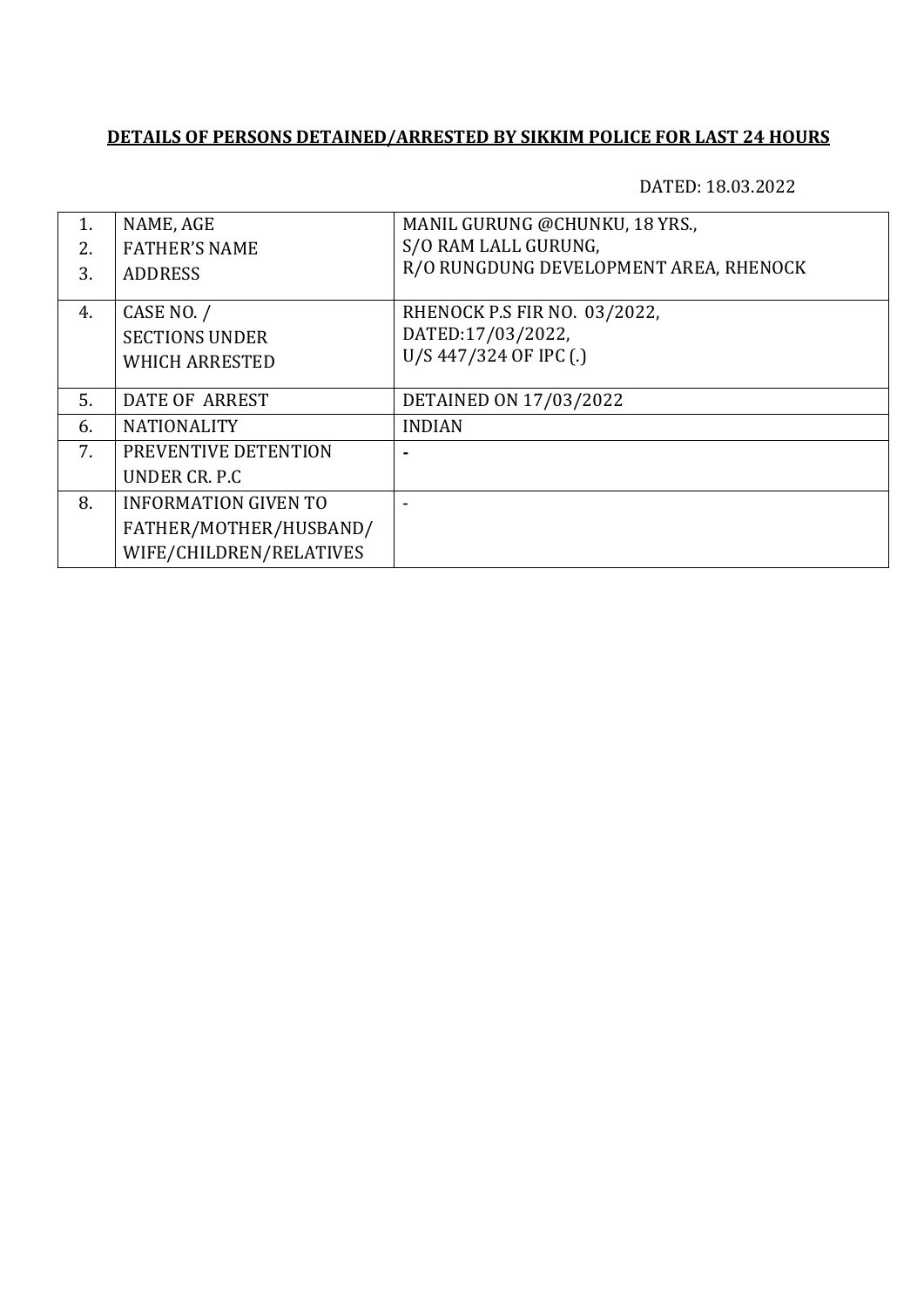| 1.             | NAME, AGE                   | MANIL GURUNG @CHUNKU, 18 YRS.,         |
|----------------|-----------------------------|----------------------------------------|
| 2.             | <b>FATHER'S NAME</b>        | S/O RAM LALL GURUNG,                   |
| 3.             | <b>ADDRESS</b>              | R/O RUNGDUNG DEVELOPMENT AREA, RHENOCK |
|                |                             |                                        |
| 4.             | CASE NO. /                  | RHENOCK P.S FIR NO. 03/2022,           |
|                | <b>SECTIONS UNDER</b>       | DATED:17/03/2022,                      |
|                | <b>WHICH ARRESTED</b>       | U/S 447/324 OF IPC (.)                 |
|                |                             |                                        |
| 5.             | DATE OF ARREST              | DETAINED ON 17/03/2022                 |
| 6.             | <b>NATIONALITY</b>          | <b>INDIAN</b>                          |
| 7 <sub>1</sub> | PREVENTIVE DETENTION        |                                        |
|                | UNDER CR. P.C.              |                                        |
| 8.             | <b>INFORMATION GIVEN TO</b> |                                        |
|                | FATHER/MOTHER/HUSBAND/      |                                        |
|                | WIFE/CHILDREN/RELATIVES     |                                        |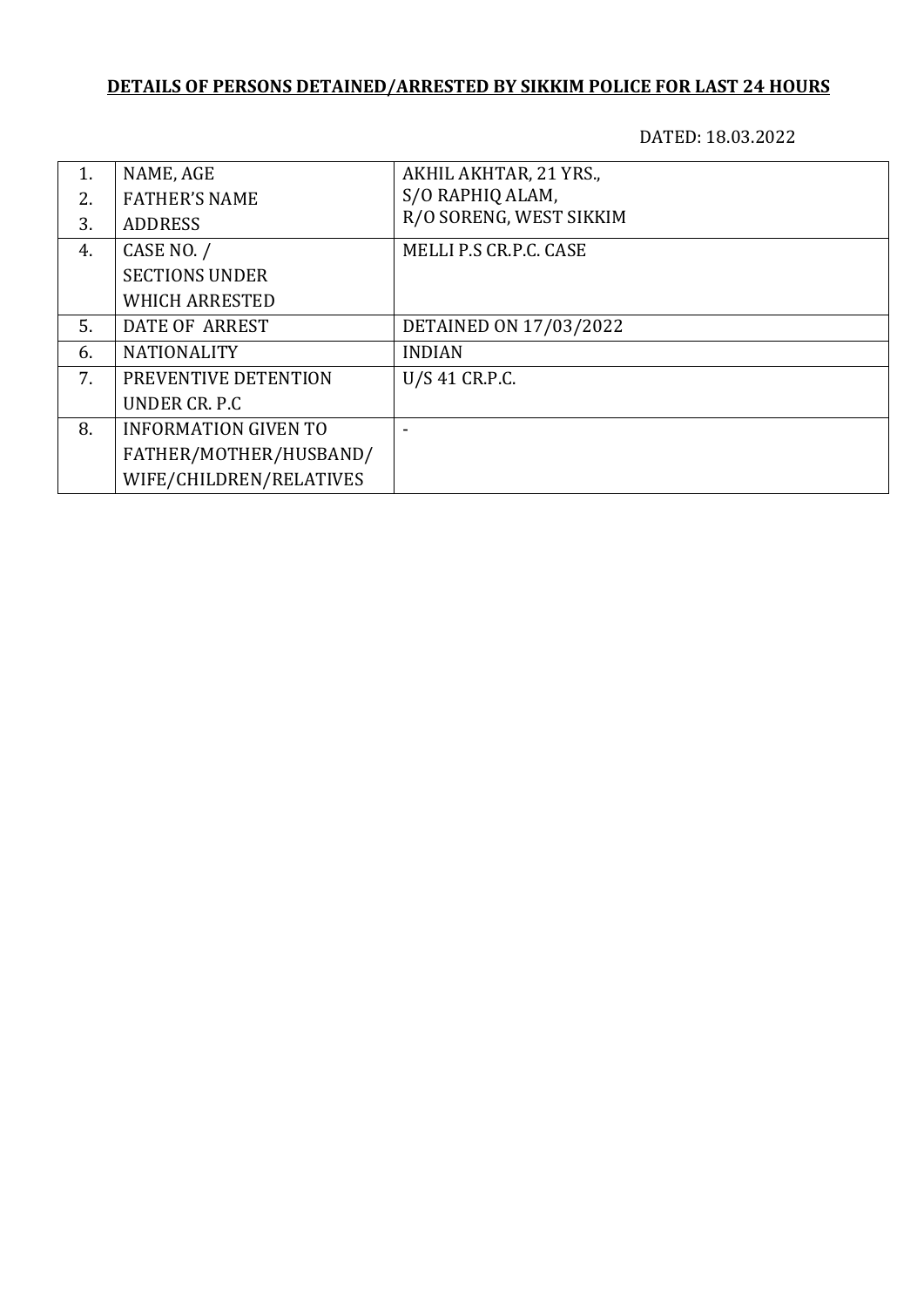| 1. | NAME, AGE                   | AKHIL AKHTAR, 21 YRS.,  |
|----|-----------------------------|-------------------------|
| 2. | <b>FATHER'S NAME</b>        | S/O RAPHIQ ALAM,        |
| 3. | <b>ADDRESS</b>              | R/O SORENG, WEST SIKKIM |
| 4. | CASE NO. /                  | MELLI P.S CR.P.C. CASE  |
|    | <b>SECTIONS UNDER</b>       |                         |
|    | <b>WHICH ARRESTED</b>       |                         |
| 5. | DATE OF ARREST              | DETAINED ON 17/03/2022  |
| 6. | <b>NATIONALITY</b>          | <b>INDIAN</b>           |
| 7. | PREVENTIVE DETENTION        | U/S 41 CR.P.C.          |
|    | UNDER CR. P.C.              |                         |
| 8. | <b>INFORMATION GIVEN TO</b> |                         |
|    | FATHER/MOTHER/HUSBAND/      |                         |
|    | WIFE/CHILDREN/RELATIVES     |                         |